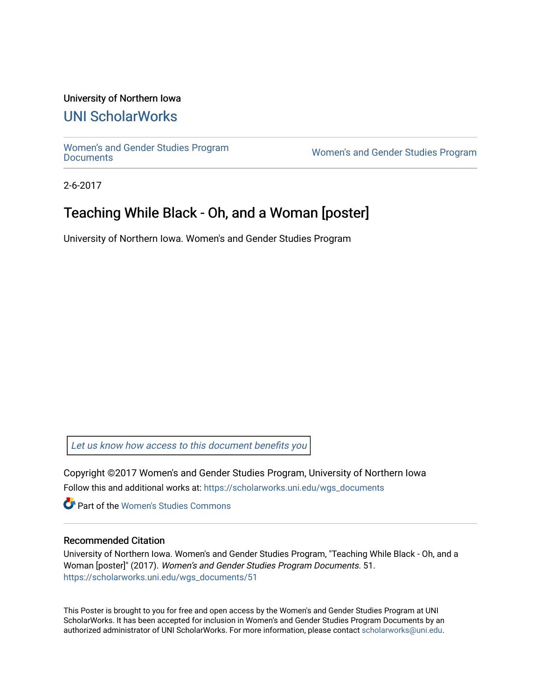#### University of Northern Iowa

### [UNI ScholarWorks](https://scholarworks.uni.edu/)

[Women's and Gender Studies Program](https://scholarworks.uni.edu/wgs_documents)<br>Documents

Women's and Gender Studies Program

2-6-2017

## Teaching While Black - Oh, and a Woman [poster]

University of Northern Iowa. Women's and Gender Studies Program

[Let us know how access to this document benefits you](https://scholarworks.uni.edu/feedback_form.html) 

Copyright ©2017 Women's and Gender Studies Program, University of Northern Iowa Follow this and additional works at: [https://scholarworks.uni.edu/wgs\\_documents](https://scholarworks.uni.edu/wgs_documents?utm_source=scholarworks.uni.edu%2Fwgs_documents%2F51&utm_medium=PDF&utm_campaign=PDFCoverPages)

**Part of the Women's Studies Commons** 

#### Recommended Citation

University of Northern Iowa. Women's and Gender Studies Program, "Teaching While Black - Oh, and a Woman [poster]" (2017). Women's and Gender Studies Program Documents. 51. [https://scholarworks.uni.edu/wgs\\_documents/51](https://scholarworks.uni.edu/wgs_documents/51?utm_source=scholarworks.uni.edu%2Fwgs_documents%2F51&utm_medium=PDF&utm_campaign=PDFCoverPages) 

This Poster is brought to you for free and open access by the Women's and Gender Studies Program at UNI ScholarWorks. It has been accepted for inclusion in Women's and Gender Studies Program Documents by an authorized administrator of UNI ScholarWorks. For more information, please contact [scholarworks@uni.edu.](mailto:scholarworks@uni.edu)